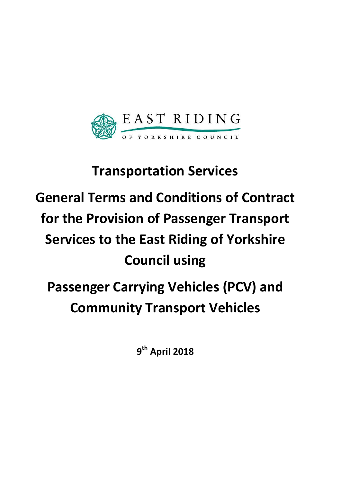

## **Transportation Services**

# **General Terms and Conditions of Contract for the Provision of Passenger Transport Services to the East Riding of Yorkshire Council using**

## **Passenger Carrying Vehicles (PCV) and Community Transport Vehicles**

**9 th April 2018**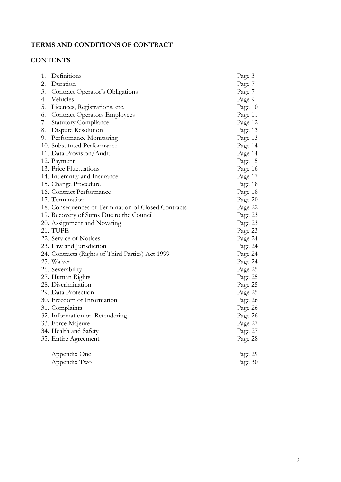#### **TERMS AND CONDITIONS OF CONTRACT**

#### **CONTENTS**

| 1. | Definitions                                         | Page 3  |
|----|-----------------------------------------------------|---------|
| 2. | Duration                                            | Page 7  |
| 3. | Contract Operator's Obligations                     | Page 7  |
| 4. | Vehicles                                            | Page 9  |
| 5. | Licences, Registrations, etc.                       | Page 10 |
| 6. | <b>Contract Operators Employees</b>                 | Page 11 |
| 7. | <b>Statutory Compliance</b>                         | Page 12 |
| 8. | Dispute Resolution                                  | Page 13 |
| 9. | Performance Monitoring                              | Page 13 |
|    | 10. Substituted Performance                         | Page 14 |
|    | 11. Data Provision/Audit                            | Page 14 |
|    | 12. Payment                                         | Page 15 |
|    | 13. Price Fluctuations                              | Page 16 |
|    | 14. Indemnity and Insurance                         | Page 17 |
|    | 15. Change Procedure                                | Page 18 |
|    | 16. Contract Performance                            | Page 18 |
|    | 17. Termination                                     | Page 20 |
|    | 18. Consequences of Termination of Closed Contracts | Page 22 |
|    | 19. Recovery of Sums Due to the Council             | Page 23 |
|    | 20. Assignment and Novating                         | Page 23 |
|    | 21. TUPE                                            | Page 23 |
|    | 22. Service of Notices                              | Page 24 |
|    | 23. Law and Jurisdiction                            | Page 24 |
|    | 24. Contracts (Rights of Third Parties) Act 1999    | Page 24 |
|    | 25. Waiver                                          | Page 24 |
|    | 26. Severability                                    | Page 25 |
|    | 27. Human Rights                                    | Page 25 |
|    | 28. Discrimination                                  | Page 25 |
|    | 29. Data Protection                                 | Page 25 |
|    | 30. Freedom of Information                          | Page 26 |
|    | 31. Complaints                                      | Page 26 |
|    | 32. Information on Retendering                      | Page 26 |
|    | 33. Force Majeure                                   | Page 27 |
|    | 34. Health and Safety                               | Page 27 |
|    | 35. Entire Agreement                                | Page 28 |
|    | Appendix One                                        | Page 29 |
|    | Appendix Two                                        | Page 30 |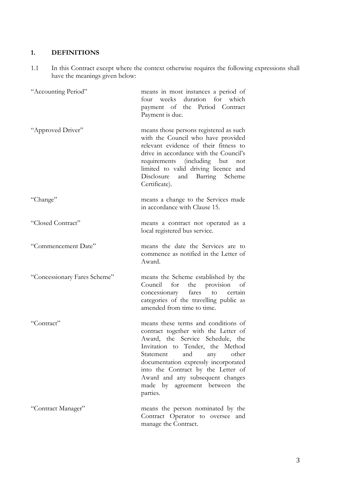#### **1. DEFINITIONS**

1.1 In this Contract except where the context otherwise requires the following expressions shall have the meanings given below:

| "Accounting Period"          | means in most instances a period of<br>weeks duration for which<br>four<br>payment of the Period Contract<br>Payment is due.                                                                                                                                                                                                                           |
|------------------------------|--------------------------------------------------------------------------------------------------------------------------------------------------------------------------------------------------------------------------------------------------------------------------------------------------------------------------------------------------------|
| "Approved Driver"            | means those persons registered as such<br>with the Council who have provided<br>relevant evidence of their fitness to<br>drive in accordance with the Council's<br>requirements (including but<br>not<br>limited to valid driving licence and<br>Disclosure and Barring Scheme<br>Certificate).                                                        |
| "Change"                     | means a change to the Services made<br>in accordance with Clause 15.                                                                                                                                                                                                                                                                                   |
| "Closed Contract"            | means a contract not operated as a<br>local registered bus service.                                                                                                                                                                                                                                                                                    |
| "Commencement Date"          | means the date the Services are to<br>commence as notified in the Letter of<br>Award.                                                                                                                                                                                                                                                                  |
| "Concessionary Fares Scheme" | means the Scheme established by the<br>the provision<br>Council for<br>of<br>concessionary fares to certain<br>categories of the travelling public as<br>amended from time to time.                                                                                                                                                                    |
| "Contract"                   | means these terms and conditions of<br>contract together with the Letter of<br>Award, the Service Schedule, the<br>Invitation to Tender, the Method<br>other<br>and<br>Statement<br>any<br>documentation expressly incorporated<br>into the Contract by the Letter of<br>Award and any subsequent changes<br>made by agreement between the<br>parties. |
| "Contract Manager"           | means the person nominated by the<br>Contract Operator to oversee and<br>manage the Contract.                                                                                                                                                                                                                                                          |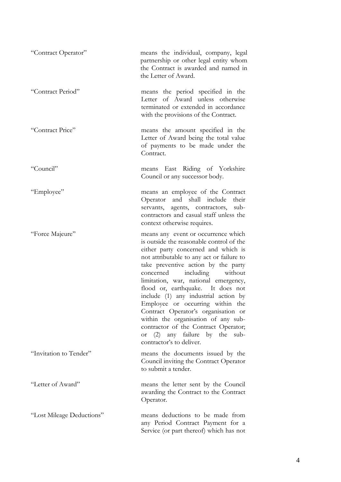| "Contract Operator"       | means the individual, company, legal<br>partnership or other legal entity whom<br>the Contract is awarded and named in<br>the Letter of Award.                                                                                                                                                                                                                                                                                                                                                                                                                                                         |
|---------------------------|--------------------------------------------------------------------------------------------------------------------------------------------------------------------------------------------------------------------------------------------------------------------------------------------------------------------------------------------------------------------------------------------------------------------------------------------------------------------------------------------------------------------------------------------------------------------------------------------------------|
| "Contract Period"         | means the period specified in the<br>Letter of Award unless otherwise<br>terminated or extended in accordance<br>with the provisions of the Contract.                                                                                                                                                                                                                                                                                                                                                                                                                                                  |
| "Contract Price"          | means the amount specified in the<br>Letter of Award being the total value<br>of payments to be made under the<br>Contract.                                                                                                                                                                                                                                                                                                                                                                                                                                                                            |
| "Council"                 | means East Riding of Yorkshire<br>Council or any successor body.                                                                                                                                                                                                                                                                                                                                                                                                                                                                                                                                       |
| "Employee"                | means an employee of the Contract<br>Operator and shall include<br>their<br>servants, agents, contractors,<br>sub-<br>contractors and casual staff unless the<br>context otherwise requires.                                                                                                                                                                                                                                                                                                                                                                                                           |
| "Force Majeure"           | means any event or occurrence which<br>is outside the reasonable control of the<br>either party concerned and which is<br>not attributable to any act or failure to<br>take preventive action by the party<br>including without<br>concerned<br>limitation, war, national emergency,<br>flood or, earthquake. It does not<br>include (1) any industrial action by<br>Employee or occurring within the<br>Contract Operator's organisation or<br>within the organisation of any sub-<br>contractor of the Contract Operator;<br>(2) any failure by the<br>sub-<br><b>or</b><br>contractor's to deliver. |
| "Invitation to Tender"    | means the documents issued by the<br>Council inviting the Contract Operator<br>to submit a tender.                                                                                                                                                                                                                                                                                                                                                                                                                                                                                                     |
| "Letter of Award"         | means the letter sent by the Council<br>awarding the Contract to the Contract<br>Operator.                                                                                                                                                                                                                                                                                                                                                                                                                                                                                                             |
| "Lost Mileage Deductions" | means deductions to be made from<br>any Period Contract Payment for a<br>Service (or part thereof) which has not                                                                                                                                                                                                                                                                                                                                                                                                                                                                                       |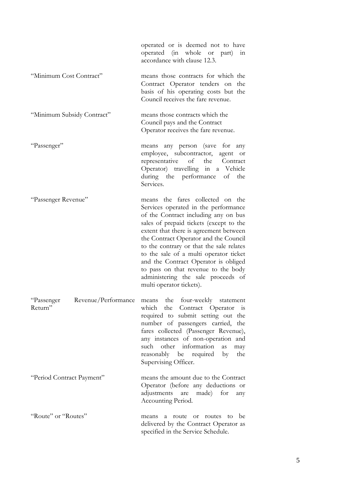|                                              | operated or is deemed not to have<br>operated (in whole or part)<br>111<br>accordance with clause 12.3.                                                                                                                                                                                                                                                                                                                                                                               |
|----------------------------------------------|---------------------------------------------------------------------------------------------------------------------------------------------------------------------------------------------------------------------------------------------------------------------------------------------------------------------------------------------------------------------------------------------------------------------------------------------------------------------------------------|
| "Minimum Cost Contract"                      | means those contracts for which the<br>Contract Operator tenders on the<br>basis of his operating costs but the<br>Council receives the fare revenue.                                                                                                                                                                                                                                                                                                                                 |
| "Minimum Subsidy Contract"                   | means those contracts which the<br>Council pays and the Contract<br>Operator receives the fare revenue.                                                                                                                                                                                                                                                                                                                                                                               |
| "Passenger"                                  | any person (save for any<br>means<br>employee, subcontractor, agent<br><b>or</b><br>representative<br>of<br>the Contract<br>Operator) travelling in a Vehicle<br>during the performance<br>of<br>the<br>Services.                                                                                                                                                                                                                                                                     |
| "Passenger Revenue"                          | means the fares collected on the<br>Services operated in the performance<br>of the Contract including any on bus<br>sales of prepaid tickets (except to the<br>extent that there is agreement between<br>the Contract Operator and the Council<br>to the contrary or that the sale relates<br>to the sale of a multi operator ticket<br>and the Contract Operator is obliged<br>to pass on that revenue to the body<br>administering the sale proceeds of<br>multi operator tickets). |
| Revenue/Performance<br>"Passenger<br>Return" | means the four-weekly statement<br>which the Contract Operator<br><b>1S</b><br>required to submit setting out the<br>number of passengers carried, the<br>fares collected (Passenger Revenue),<br>any instances of non-operation and<br>such other information<br>as<br>may<br>reasonably be required<br>by<br>the<br>Supervising Officer.                                                                                                                                            |
| "Period Contract Payment"                    | means the amount due to the Contract<br>Operator (before any deductions or<br>adjustments<br>made)<br>for<br>are<br>any<br>Accounting Period.                                                                                                                                                                                                                                                                                                                                         |
| "Route" or "Routes"                          | be<br>route or<br>routes to<br>means<br>a<br>delivered by the Contract Operator as<br>specified in the Service Schedule.                                                                                                                                                                                                                                                                                                                                                              |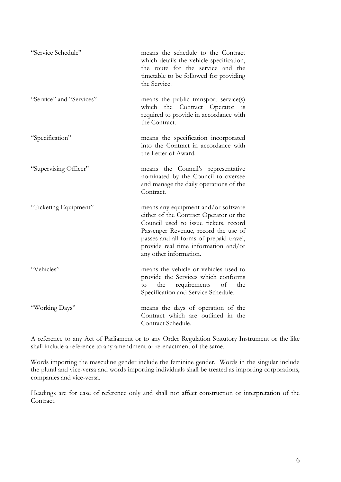| "Service Schedule"       | means the schedule to the Contract<br>which details the vehicle specification,<br>the route for the service and the<br>timetable to be followed for providing<br>the Service.                                                                                               |
|--------------------------|-----------------------------------------------------------------------------------------------------------------------------------------------------------------------------------------------------------------------------------------------------------------------------|
| "Service" and "Services" | means the public transport service(s)<br>the Contract Operator<br>which<br>$\frac{1}{1S}$<br>required to provide in accordance with<br>the Contract.                                                                                                                        |
| "Specification"          | means the specification incorporated<br>into the Contract in accordance with<br>the Letter of Award.                                                                                                                                                                        |
| "Supervising Officer"    | means the Council's representative<br>nominated by the Council to oversee<br>and manage the daily operations of the<br>Contract.                                                                                                                                            |
| "Ticketing Equipment"    | means any equipment and/or software<br>either of the Contract Operator or the<br>Council used to issue tickets, record<br>Passenger Revenue, record the use of<br>passes and all forms of prepaid travel,<br>provide real time information and/or<br>any other information. |
| "Vehicles"               | means the vehicle or vehicles used to<br>provide the Services which conforms<br>requirements of<br>the<br>the<br>to<br>Specification and Service Schedule.                                                                                                                  |
| "Working Days"           | means the days of operation of the<br>Contract which are outlined in the<br>Contract Schedule.                                                                                                                                                                              |

A reference to any Act of Parliament or to any Order Regulation Statutory Instrument or the like shall include a reference to any amendment or re-enactment of the same.

Words importing the masculine gender include the feminine gender. Words in the singular include the plural and vice-versa and words importing individuals shall be treated as importing corporations, companies and vice-versa.

Headings are for ease of reference only and shall not affect construction or interpretation of the Contract.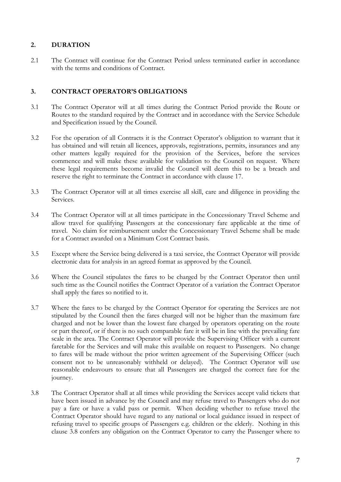#### **2. DURATION**

2.1 The Contract will continue for the Contract Period unless terminated earlier in accordance with the terms and conditions of Contract.

#### **3. CONTRACT OPERATOR'S OBLIGATIONS**

- 3.1 The Contract Operator will at all times during the Contract Period provide the Route or Routes to the standard required by the Contract and in accordance with the Service Schedule and Specification issued by the Council.
- 3.2 For the operation of all Contracts it is the Contract Operator's obligation to warrant that it has obtained and will retain all licences, approvals, registrations, permits, insurances and any other matters legally required for the provision of the Services, before the services commence and will make these available for validation to the Council on request. Where these legal requirements become invalid the Council will deem this to be a breach and reserve the right to terminate the Contract in accordance with clause 17.
- 3.3 The Contract Operator will at all times exercise all skill, care and diligence in providing the Services.
- 3.4 The Contract Operator will at all times participate in the Concessionary Travel Scheme and allow travel for qualifying Passengers at the concessionary fare applicable at the time of travel. No claim for reimbursement under the Concessionary Travel Scheme shall be made for a Contract awarded on a Minimum Cost Contract basis.
- 3.5 Except where the Service being delivered is a taxi service, the Contract Operator will provide electronic data for analysis in an agreed format as approved by the Council.
- 3.6 Where the Council stipulates the fares to be charged by the Contract Operator then until such time as the Council notifies the Contract Operator of a variation the Contract Operator shall apply the fares so notified to it.
- 3.7 Where the fares to be charged by the Contract Operator for operating the Services are not stipulated by the Council then the fares charged will not be higher than the maximum fare charged and not be lower than the lowest fare charged by operators operating on the route or part thereof, or if there is no such comparable fare it will be in line with the prevailing fare scale in the area. The Contract Operator will provide the Supervising Officer with a current faretable for the Services and will make this available on request to Passengers. No change to fares will be made without the prior written agreement of the Supervising Officer (such consent not to be unreasonably withheld or delayed). The Contract Operator will use reasonable endeavours to ensure that all Passengers are charged the correct fare for the journey.
- 3.8 The Contract Operator shall at all times while providing the Services accept valid tickets that have been issued in advance by the Council and may refuse travel to Passengers who do not pay a fare or have a valid pass or permit. When deciding whether to refuse travel the Contract Operator should have regard to any national or local guidance issued in respect of refusing travel to specific groups of Passengers e.g. children or the elderly. Nothing in this clause 3.8 confers any obligation on the Contract Operator to carry the Passenger where to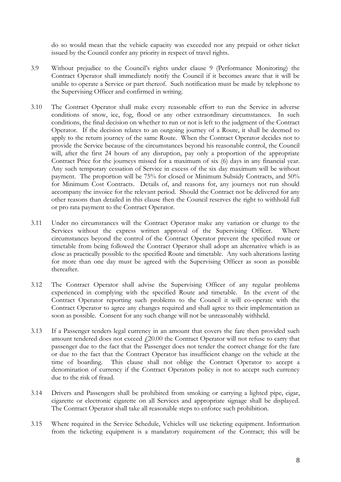do so would mean that the vehicle capacity was exceeded nor any prepaid or other ticket issued by the Council confer any priority in respect of travel rights.

- 3.9 Without prejudice to the Council's rights under clause 9 (Performance Monitoring) the Contract Operator shall immediately notify the Council if it becomes aware that it will be unable to operate a Service or part thereof. Such notification must be made by telephone to the Supervising Officer and confirmed in writing.
- 3.10 The Contract Operator shall make every reasonable effort to run the Service in adverse conditions of snow, ice, fog, flood or any other extraordinary circumstances. In such conditions, the final decision on whether to run or not is left to the judgment of the Contract Operator. If the decision relates to an outgoing journey of a Route, it shall be deemed to apply to the return journey of the same Route. When the Contract Operator decides not to provide the Service because of the circumstances beyond his reasonable control, the Council will, after the first 24 hours of any disruption, pay only a proportion of the appropriate Contract Price for the journeys missed for a maximum of six (6) days in any financial year. Any such temporary cessation of Service in excess of the six day maximum will be without payment. The proportion will be 75% for closed or Minimum Subsidy Contracts, and 50% for Minimum Cost Contracts. Details of, and reasons for, any journeys not run should accompany the invoice for the relevant period. Should the Contract not be delivered for any other reasons than detailed in this clause then the Council reserves the right to withhold full or pro rata payment to the Contract Operator.
- 3.11 Under no circumstances will the Contract Operator make any variation or change to the Services without the express written approval of the Supervising Officer. Where circumstances beyond the control of the Contract Operator prevent the specified route or timetable from being followed the Contract Operator shall adopt an alternative which is as close as practically possible to the specified Route and timetable. Any such alterations lasting for more than one day must be agreed with the Supervising Officer as soon as possible thereafter.
- 3.12 The Contract Operator shall advise the Supervising Officer of any regular problems experienced in complying with the specified Route and timetable. In the event of the Contract Operator reporting such problems to the Council it will co-operate with the Contract Operator to agree any changes required and shall agree to their implementation as soon as possible. Consent for any such change will not be unreasonably withheld.
- 3.13 If a Passenger tenders legal currency in an amount that covers the fare then provided such amount tendered does not exceed  $f20.00$  the Contract Operator will not refuse to carry that passenger due to the fact that the Passenger does not tender the correct change for the fare or due to the fact that the Contract Operator has insufficient change on the vehicle at the time of boarding. This clause shall not oblige the Contract Operator to accept a denomination of currency if the Contract Operators policy is not to accept such currency due to the risk of fraud.
- 3.14 Drivers and Passengers shall be prohibited from smoking or carrying a lighted pipe, cigar, cigarette or electronic cigarette on all Services and appropriate signage shall be displayed. The Contract Operator shall take all reasonable steps to enforce such prohibition.
- 3.15 Where required in the Service Schedule, Vehicles will use ticketing equipment. Information from the ticketing equipment is a mandatory requirement of the Contract; this will be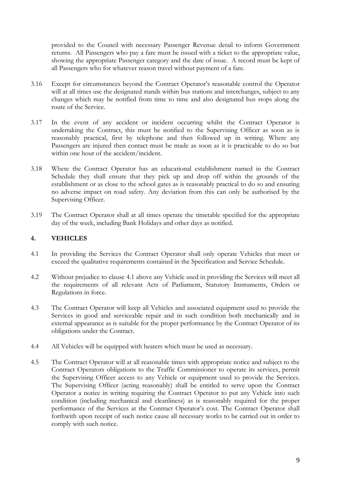provided to the Council with necessary Passenger Revenue detail to inform Government returns. All Passengers who pay a fare must be issued with a ticket to the appropriate value, showing the appropriate Passenger category and the date of issue. A record must be kept of all Passengers who for whatever reason travel without payment of a fare.

- 3.16 Except for circumstances beyond the Contract Operator's reasonable control the Operator will at all times use the designated stands within bus stations and interchanges, subject to any changes which may be notified from time to time and also designated bus stops along the route of the Service.
- 3.17 In the event of any accident or incident occurring whilst the Contract Operator is undertaking the Contract, this must be notified to the Supervising Officer as soon as is reasonably practical, first by telephone and then followed up in writing. Where any Passengers are injured then contact must be made as soon as it is practicable to do so but within one hour of the accident/incident.
- 3.18 Where the Contract Operator has an educational establishment named in the Contract Schedule they shall ensure that they pick up and drop off within the grounds of the establishment or as close to the school gates as is reasonably practical to do so and ensuring no adverse impact on road safety. Any deviation from this can only be authorised by the Supervising Officer.
- 3.19 The Contract Operator shall at all times operate the timetable specified for the appropriate day of the week, including Bank Holidays and other days as notified.

#### **4. VEHICLES**

- 4.1 In providing the Services the Contract Operator shall only operate Vehicles that meet or exceed the qualitative requirements contained in the Specification and Service Schedule.
- 4.2 Without prejudice to clause 4.1 above any Vehicle used in providing the Services will meet all the requirements of all relevant Acts of Parliament, Statutory Instruments, Orders or Regulations in force.
- 4.3 The Contract Operator will keep all Vehicles and associated equipment used to provide the Services in good and serviceable repair and in such condition both mechanically and in external appearance as is suitable for the proper performance by the Contract Operator of its obligations under the Contract.
- 4.4 All Vehicles will be equipped with heaters which must be used as necessary.
- 4.5 The Contract Operator will at all reasonable times with appropriate notice and subject to the Contract Operators obligations to the Traffic Commissioner to operate its services, permit the Supervising Officer access to any Vehicle or equipment used to provide the Services. The Supervising Officer (acting reasonably) shall be entitled to serve upon the Contract Operator a notice in writing requiring the Contract Operator to put any Vehicle into such condition (including mechanical and cleanliness) as is reasonably required for the proper performance of the Services at the Contract Operator's cost. The Contract Operator shall forthwith upon receipt of such notice cause all necessary works to be carried out in order to comply with such notice.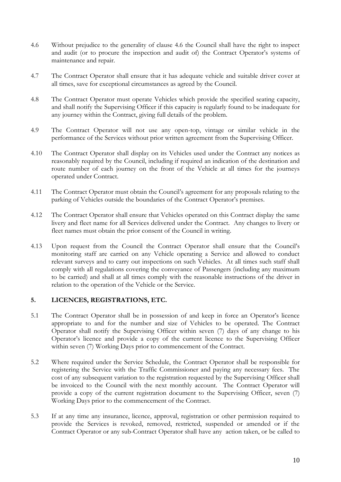- 4.6 Without prejudice to the generality of clause 4.6 the Council shall have the right to inspect and audit (or to procure the inspection and audit of) the Contract Operator's systems of maintenance and repair.
- 4.7 The Contract Operator shall ensure that it has adequate vehicle and suitable driver cover at all times, save for exceptional circumstances as agreed by the Council.
- 4.8 The Contract Operator must operate Vehicles which provide the specified seating capacity, and shall notify the Supervising Officer if this capacity is regularly found to be inadequate for any journey within the Contract, giving full details of the problem.
- 4.9 The Contract Operator will not use any open-top, vintage or similar vehicle in the performance of the Services without prior written agreement from the Supervising Officer.
- 4.10 The Contract Operator shall display on its Vehicles used under the Contract any notices as reasonably required by the Council, including if required an indication of the destination and route number of each journey on the front of the Vehicle at all times for the journeys operated under Contract.
- 4.11 The Contract Operator must obtain the Council's agreement for any proposals relating to the parking of Vehicles outside the boundaries of the Contract Operator's premises.
- 4.12 The Contract Operator shall ensure that Vehicles operated on this Contract display the same livery and fleet name for all Services delivered under the Contract. Any changes to livery or fleet names must obtain the prior consent of the Council in writing.
- 4.13 Upon request from the Council the Contract Operator shall ensure that the Council's monitoring staff are carried on any Vehicle operating a Service and allowed to conduct relevant surveys and to carry out inspections on such Vehicles. At all times such staff shall comply with all regulations covering the conveyance of Passengers (including any maximum to be carried) and shall at all times comply with the reasonable instructions of the driver in relation to the operation of the Vehicle or the Service.

#### **5. LICENCES, REGISTRATIONS, ETC.**

- 5.1 The Contract Operator shall be in possession of and keep in force an Operator's licence appropriate to and for the number and size of Vehicles to be operated. The Contract Operator shall notify the Supervising Officer within seven (7) days of any change to his Operator's licence and provide a copy of the current licence to the Supervising Officer within seven (7) Working Days prior to commencement of the Contract.
- 5.2 Where required under the Service Schedule, the Contract Operator shall be responsible for registering the Service with the Traffic Commissioner and paying any necessary fees. The cost of any subsequent variation to the registration requested by the Supervising Officer shall be invoiced to the Council with the next monthly account. The Contract Operator will provide a copy of the current registration document to the Supervising Officer, seven (7) Working Days prior to the commencement of the Contract.
- 5.3 If at any time any insurance, licence, approval, registration or other permission required to provide the Services is revoked, removed, restricted, suspended or amended or if the Contract Operator or any sub-Contract Operator shall have any action taken, or be called to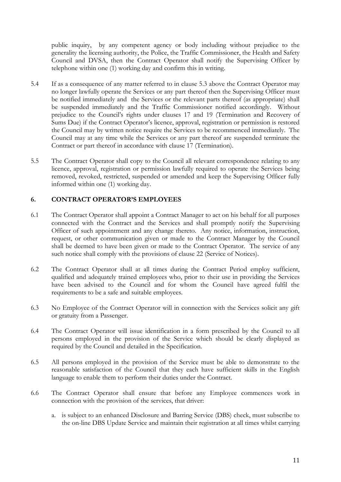public inquiry, by any competent agency or body including without prejudice to the generality the licensing authority, the Police, the Traffic Commissioner, the Health and Safety Council and DVSA, then the Contract Operator shall notify the Supervising Officer by telephone within one (1) working day and confirm this in writing.

- 5.4 If as a consequence of any matter referred to in clause 5.3 above the Contract Operator may no longer lawfully operate the Services or any part thereof then the Supervising Officer must be notified immediately and the Services or the relevant parts thereof (as appropriate) shall be suspended immediately and the Traffic Commissioner notified accordingly. Without prejudice to the Council's rights under clauses 17 and 19 (Termination and Recovery of Sums Due) if the Contract Operator's licence, approval, registration or permission is restored the Council may by written notice require the Services to be recommenced immediately. The Council may at any time while the Services or any part thereof are suspended terminate the Contract or part thereof in accordance with clause 17 (Termination).
- 5.5 The Contract Operator shall copy to the Council all relevant correspondence relating to any licence, approval, registration or permission lawfully required to operate the Services being removed, revoked, restricted, suspended or amended and keep the Supervising Officer fully informed within one (1) working day.

#### **6. CONTRACT OPERATOR'S EMPLOYEES**

- 6.1 The Contract Operator shall appoint a Contract Manager to act on his behalf for all purposes connected with the Contract and the Services and shall promptly notify the Supervising Officer of such appointment and any change thereto. Any notice, information, instruction, request, or other communication given or made to the Contract Manager by the Council shall be deemed to have been given or made to the Contract Operator. The service of any such notice shall comply with the provisions of clause 22 (Service of Notices).
- 6.2 The Contract Operator shall at all times during the Contract Period employ sufficient, qualified and adequately trained employees who, prior to their use in providing the Services have been advised to the Council and for whom the Council have agreed fulfil the requirements to be a safe and suitable employees.
- 6.3 No Employee of the Contract Operator will in connection with the Services solicit any gift or gratuity from a Passenger.
- 6.4 The Contract Operator will issue identification in a form prescribed by the Council to all persons employed in the provision of the Service which should be clearly displayed as required by the Council and detailed in the Specification.
- 6.5 All persons employed in the provision of the Service must be able to demonstrate to the reasonable satisfaction of the Council that they each have sufficient skills in the English language to enable them to perform their duties under the Contract.
- 6.6 The Contract Operator shall ensure that before any Employee commences work in connection with the provision of the services, that driver:
	- a. is subject to an enhanced Disclosure and Barring Service (DBS) check, must subscribe to the on-line DBS Update Service and maintain their registration at all times whilst carrying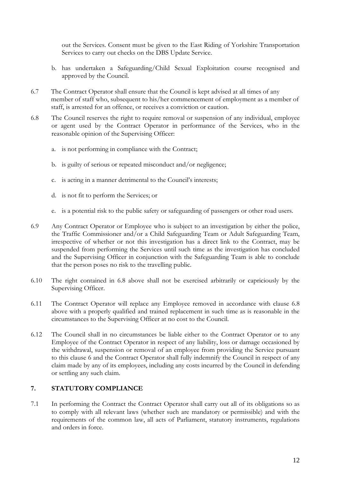out the Services. Consent must be given to the East Riding of Yorkshire Transportation Services to carry out checks on the DBS Update Service.

- b. has undertaken a Safeguarding/Child Sexual Exploitation course recognised and approved by the Council.
- 6.7 The Contract Operator shall ensure that the Council is kept advised at all times of any member of staff who, subsequent to his/her commencement of employment as a member of staff, is arrested for an offence, or receives a conviction or caution.
- 6.8 The Council reserves the right to require removal or suspension of any individual, employee or agent used by the Contract Operator in performance of the Services, who in the reasonable opinion of the Supervising Officer:
	- a. is not performing in compliance with the Contract;
	- b. is guilty of serious or repeated misconduct and/or negligence;
	- c. is acting in a manner detrimental to the Council's interests;
	- d. is not fit to perform the Services; or
	- e. is a potential risk to the public safety or safeguarding of passengers or other road users.
- 6.9 Any Contract Operator or Employee who is subject to an investigation by either the police, the Traffic Commissioner and/or a Child Safeguarding Team or Adult Safeguarding Team, irrespective of whether or not this investigation has a direct link to the Contract, may be suspended from performing the Services until such time as the investigation has concluded and the Supervising Officer in conjunction with the Safeguarding Team is able to conclude that the person poses no risk to the travelling public.
- 6.10 The right contained in 6.8 above shall not be exercised arbitrarily or capriciously by the Supervising Officer.
- 6.11 The Contract Operator will replace any Employee removed in accordance with clause 6.8 above with a properly qualified and trained replacement in such time as is reasonable in the circumstances to the Supervising Officer at no cost to the Council.
- 6.12 The Council shall in no circumstances be liable either to the Contract Operator or to any Employee of the Contract Operator in respect of any liability, loss or damage occasioned by the withdrawal, suspension or removal of an employee from providing the Service pursuant to this clause 6 and the Contract Operator shall fully indemnify the Council in respect of any claim made by any of its employees, including any costs incurred by the Council in defending or settling any such claim.

#### **7. STATUTORY COMPLIANCE**

7.1 In performing the Contract the Contract Operator shall carry out all of its obligations so as to comply with all relevant laws (whether such are mandatory or permissible) and with the requirements of the common law, all acts of Parliament, statutory instruments, regulations and orders in force.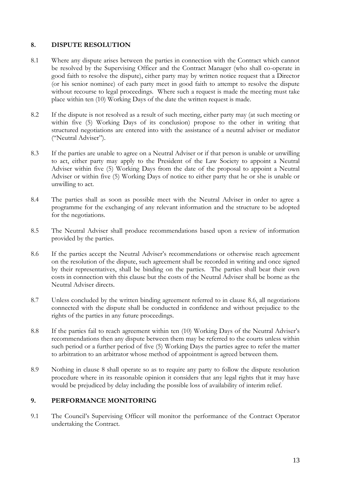#### **8. DISPUTE RESOLUTION**

- 8.1 Where any dispute arises between the parties in connection with the Contract which cannot be resolved by the Supervising Officer and the Contract Manager (who shall co-operate in good faith to resolve the dispute), either party may by written notice request that a Director (or his senior nominee) of each party meet in good faith to attempt to resolve the dispute without recourse to legal proceedings. Where such a request is made the meeting must take place within ten (10) Working Days of the date the written request is made.
- 8.2 If the dispute is not resolved as a result of such meeting, either party may (at such meeting or within five (5) Working Days of its conclusion) propose to the other in writing that structured negotiations are entered into with the assistance of a neutral adviser or mediator ("Neutral Adviser").
- 8.3 If the parties are unable to agree on a Neutral Adviser or if that person is unable or unwilling to act, either party may apply to the President of the Law Society to appoint a Neutral Adviser within five (5) Working Days from the date of the proposal to appoint a Neutral Adviser or within five (5) Working Days of notice to either party that he or she is unable or unwilling to act.
- 8.4 The parties shall as soon as possible meet with the Neutral Adviser in order to agree a programme for the exchanging of any relevant information and the structure to be adopted for the negotiations.
- 8.5 The Neutral Adviser shall produce recommendations based upon a review of information provided by the parties.
- 8.6 If the parties accept the Neutral Adviser's recommendations or otherwise reach agreement on the resolution of the dispute, such agreement shall be recorded in writing and once signed by their representatives, shall be binding on the parties. The parties shall bear their own costs in connection with this clause but the costs of the Neutral Adviser shall be borne as the Neutral Adviser directs.
- 8.7 Unless concluded by the written binding agreement referred to in clause 8.6, all negotiations connected with the dispute shall be conducted in confidence and without prejudice to the rights of the parties in any future proceedings.
- 8.8 If the parties fail to reach agreement within ten (10) Working Days of the Neutral Adviser's recommendations then any dispute between them may be referred to the courts unless within such period or a further period of five (5) Working Days the parties agree to refer the matter to arbitration to an arbitrator whose method of appointment is agreed between them.
- 8.9 Nothing in clause 8 shall operate so as to require any party to follow the dispute resolution procedure where in its reasonable opinion it considers that any legal rights that it may have would be prejudiced by delay including the possible loss of availability of interim relief.

#### **9. PERFORMANCE MONITORING**

9.1 The Council's Supervising Officer will monitor the performance of the Contract Operator undertaking the Contract.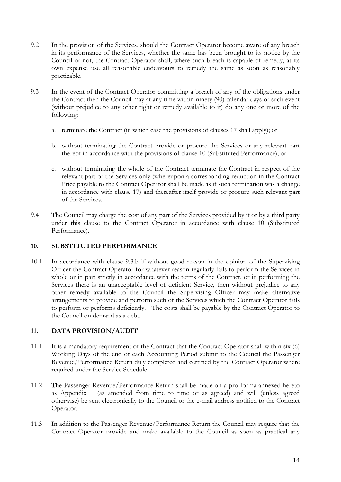- 9.2 In the provision of the Services, should the Contract Operator become aware of any breach in its performance of the Services, whether the same has been brought to its notice by the Council or not, the Contract Operator shall, where such breach is capable of remedy, at its own expense use all reasonable endeavours to remedy the same as soon as reasonably practicable.
- 9.3 In the event of the Contract Operator committing a breach of any of the obligations under the Contract then the Council may at any time within ninety (90) calendar days of such event (without prejudice to any other right or remedy available to it) do any one or more of the following:
	- a. terminate the Contract (in which case the provisions of clauses 17 shall apply); or
	- b. without terminating the Contract provide or procure the Services or any relevant part thereof in accordance with the provisions of clause 10 (Substituted Performance); or
	- c. without terminating the whole of the Contract terminate the Contract in respect of the relevant part of the Services only (whereupon a corresponding reduction in the Contract Price payable to the Contract Operator shall be made as if such termination was a change in accordance with clause 17) and thereafter itself provide or procure such relevant part of the Services.
- 9.4 The Council may charge the cost of any part of the Services provided by it or by a third party under this clause to the Contract Operator in accordance with clause 10 (Substituted Performance).

#### **10. SUBSTITUTED PERFORMANCE**

10.1 In accordance with clause 9.3.b if without good reason in the opinion of the Supervising Officer the Contract Operator for whatever reason regularly fails to perform the Services in whole or in part strictly in accordance with the terms of the Contract, or in performing the Services there is an unacceptable level of deficient Service, then without prejudice to any other remedy available to the Council the Supervising Officer may make alternative arrangements to provide and perform such of the Services which the Contract Operator fails to perform or performs deficiently. The costs shall be payable by the Contract Operator to the Council on demand as a debt.

#### **11. DATA PROVISION/AUDIT**

- 11.1 It is a mandatory requirement of the Contract that the Contract Operator shall within six (6) Working Days of the end of each Accounting Period submit to the Council the Passenger Revenue/Performance Return duly completed and certified by the Contract Operator where required under the Service Schedule.
- 11.2 The Passenger Revenue/Performance Return shall be made on a pro-forma annexed hereto as Appendix 1 (as amended from time to time or as agreed) and will (unless agreed otherwise) be sent electronically to the Council to the e-mail address notified to the Contract Operator.
- 11.3 In addition to the Passenger Revenue/Performance Return the Council may require that the Contract Operator provide and make available to the Council as soon as practical any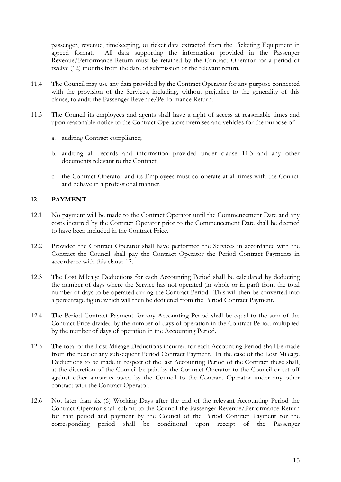passenger, revenue, timekeeping, or ticket data extracted from the Ticketing Equipment in agreed format. All data supporting the information provided in the Passenger Revenue/Performance Return must be retained by the Contract Operator for a period of twelve (12) months from the date of submission of the relevant return.

- 11.4 The Council may use any data provided by the Contract Operator for any purpose connected with the provision of the Services, including, without prejudice to the generality of this clause, to audit the Passenger Revenue/Performance Return.
- 11.5 The Council its employees and agents shall have a right of access at reasonable times and upon reasonable notice to the Contract Operators premises and vehicles for the purpose of:
	- a. auditing Contract compliance;
	- b. auditing all records and information provided under clause 11.3 and any other documents relevant to the Contract;
	- c. the Contract Operator and its Employees must co-operate at all times with the Council and behave in a professional manner.

#### **12. PAYMENT**

- 12.1 No payment will be made to the Contract Operator until the Commencement Date and any costs incurred by the Contract Operator prior to the Commencement Date shall be deemed to have been included in the Contract Price.
- 12.2 Provided the Contract Operator shall have performed the Services in accordance with the Contract the Council shall pay the Contract Operator the Period Contract Payments in accordance with this clause 12.
- 12.3 The Lost Mileage Deductions for each Accounting Period shall be calculated by deducting the number of days where the Service has not operated (in whole or in part) from the total number of days to be operated during the Contract Period. This will then be converted into a percentage figure which will then be deducted from the Period Contract Payment.
- 12.4 The Period Contract Payment for any Accounting Period shall be equal to the sum of the Contract Price divided by the number of days of operation in the Contract Period multiplied by the number of days of operation in the Accounting Period.
- 12.5 The total of the Lost Mileage Deductions incurred for each Accounting Period shall be made from the next or any subsequent Period Contract Payment. In the case of the Lost Mileage Deductions to be made in respect of the last Accounting Period of the Contract these shall, at the discretion of the Council be paid by the Contract Operator to the Council or set off against other amounts owed by the Council to the Contract Operator under any other contract with the Contract Operator.
- 12.6 Not later than six (6) Working Days after the end of the relevant Accounting Period the Contract Operator shall submit to the Council the Passenger Revenue/Performance Return for that period and payment by the Council of the Period Contract Payment for the corresponding period shall be conditional upon receipt of the Passenger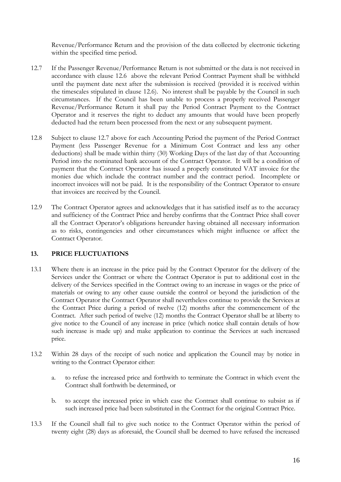Revenue/Performance Return and the provision of the data collected by electronic ticketing within the specified time period.

- 12.7 If the Passenger Revenue/Performance Return is not submitted or the data is not received in accordance with clause 12.6 above the relevant Period Contract Payment shall be withheld until the payment date next after the submission is received (provided it is received within the timescales stipulated in clause 12.6). No interest shall be payable by the Council in such circumstances. If the Council has been unable to process a properly received Passenger Revenue/Performance Return it shall pay the Period Contract Payment to the Contract Operator and it reserves the right to deduct any amounts that would have been properly deducted had the return been processed from the next or any subsequent payment.
- 12.8 Subject to clause 12.7 above for each Accounting Period the payment of the Period Contract Payment (less Passenger Revenue for a Minimum Cost Contract and less any other deductions) shall be made within thirty (30) Working Days of the last day of that Accounting Period into the nominated bank account of the Contract Operator. It will be a condition of payment that the Contract Operator has issued a properly constituted VAT invoice for the monies due which include the contract number and the contract period. Incomplete or incorrect invoices will not be paid. It is the responsibility of the Contract Operator to ensure that invoices are received by the Council.
- 12.9 The Contract Operator agrees and acknowledges that it has satisfied itself as to the accuracy and sufficiency of the Contract Price and hereby confirms that the Contract Price shall cover all the Contract Operator's obligations hereunder having obtained all necessary information as to risks, contingencies and other circumstances which might influence or affect the Contract Operator.

#### **13. PRICE FLUCTUATIONS**

- 13.1 Where there is an increase in the price paid by the Contract Operator for the delivery of the Services under the Contract or where the Contract Operator is put to additional cost in the delivery of the Services specified in the Contract owing to an increase in wages or the price of materials or owing to any other cause outside the control or beyond the jurisdiction of the Contract Operator the Contract Operator shall nevertheless continue to provide the Services at the Contract Price during a period of twelve (12) months after the commencement of the Contract. After such period of twelve (12) months the Contract Operator shall be at liberty to give notice to the Council of any increase in price (which notice shall contain details of how such increase is made up) and make application to continue the Services at such increased price.
- 13.2 Within 28 days of the receipt of such notice and application the Council may by notice in writing to the Contract Operator either:
	- a. to refuse the increased price and forthwith to terminate the Contract in which event the Contract shall forthwith be determined, or
	- b. to accept the increased price in which case the Contract shall continue to subsist as if such increased price had been substituted in the Contract for the original Contract Price.
- 13.3 If the Council shall fail to give such notice to the Contract Operator within the period of twenty eight (28) days as aforesaid, the Council shall be deemed to have refused the increased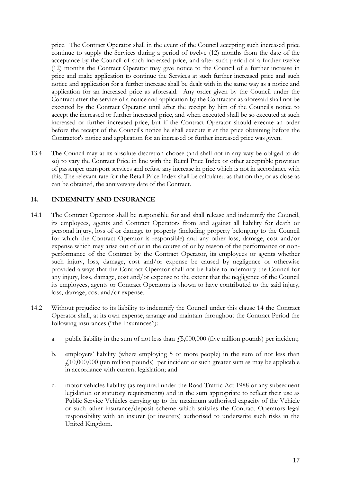price. The Contract Operator shall in the event of the Council accepting such increased price continue to supply the Services during a period of twelve (12) months from the date of the acceptance by the Council of such increased price, and after such period of a further twelve (12) months the Contract Operator may give notice to the Council of a further increase in price and make application to continue the Services at such further increased price and such notice and application for a further increase shall be dealt with in the same way as a notice and application for an increased price as aforesaid. Any order given by the Council under the Contract after the service of a notice and application by the Contractor as aforesaid shall not be executed by the Contract Operator until after the receipt by him of the Council's notice to accept the increased or further increased price, and when executed shall be so executed at such increased or further increased price, but if the Contract Operator should execute an order before the receipt of the Council's notice he shall execute it at the price obtaining before the Contractor's notice and application for an increased or further increased price was given.

13.4 The Council may at its absolute discretion choose (and shall not in any way be obliged to do so) to vary the Contract Price in line with the Retail Price Index or other acceptable provision of passenger transport services and refuse any increase in price which is not in accordance with this. The relevant rate for the Retail Price Index shall be calculated as that on the, or as close as can be obtained, the anniversary date of the Contract.

#### **14. INDEMNITY AND INSURANCE**

- 14.1 The Contract Operator shall be responsible for and shall release and indemnify the Council, its employees, agents and Contract Operators from and against all liability for death or personal injury, loss of or damage to property (including property belonging to the Council for which the Contract Operator is responsible) and any other loss, damage, cost and/or expense which may arise out of or in the course of or by reason of the performance or nonperformance of the Contract by the Contract Operator, its employees or agents whether such injury, loss, damage, cost and/or expense be caused by negligence or otherwise provided always that the Contract Operator shall not be liable to indemnify the Council for any injury, loss, damage, cost and/or expense to the extent that the negligence of the Council its employees, agents or Contract Operators is shown to have contributed to the said injury, loss, damage, cost and/or expense.
- 14.2 Without prejudice to its liability to indemnify the Council under this clause 14 the Contract Operator shall, at its own expense, arrange and maintain throughout the Contract Period the following insurances ("the Insurances"):
	- a. public liability in the sum of not less than  $\dot{f}$ , 5,000,000 (five million pounds) per incident;
	- b. employers' liability (where employing 5 or more people) in the sum of not less than  $f10,000,000$  (ten million pounds) per incident or such greater sum as may be applicable in accordance with current legislation; and
	- c. motor vehicles liability (as required under the Road Traffic Act 1988 or any subsequent legislation or statutory requirements) and in the sum appropriate to reflect their use as Public Service Vehicles carrying up to the maximum authorised capacity of the Vehicle or such other insurance/deposit scheme which satisfies the Contract Operators legal responsibility with an insurer (or insurers) authorised to underwrite such risks in the United Kingdom.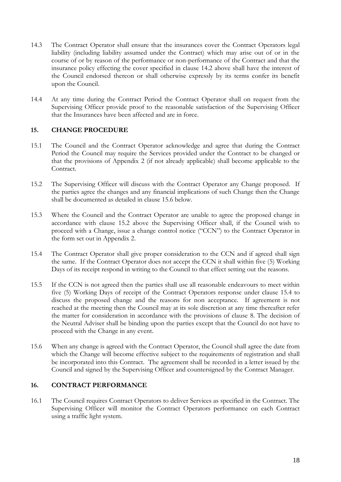- 14.3 The Contract Operator shall ensure that the insurances cover the Contract Operators legal liability (including liability assumed under the Contract) which may arise out of or in the course of or by reason of the performance or non-performance of the Contract and that the insurance policy effecting the cover specified in clause 14.2 above shall have the interest of the Council endorsed thereon or shall otherwise expressly by its terms confer its benefit upon the Council.
- 14.4 At any time during the Contract Period the Contract Operator shall on request from the Supervising Officer provide proof to the reasonable satisfaction of the Supervising Officer that the Insurances have been affected and are in force.

#### **15. CHANGE PROCEDURE**

- 15.1 The Council and the Contract Operator acknowledge and agree that during the Contract Period the Council may require the Services provided under the Contract to be changed or that the provisions of Appendix 2 (if not already applicable) shall become applicable to the Contract.
- 15.2 The Supervising Officer will discuss with the Contract Operator any Change proposed. If the parties agree the changes and any financial implications of such Change then the Change shall be documented as detailed in clause 15.6 below.
- 15.3 Where the Council and the Contract Operator are unable to agree the proposed change in accordance with clause 15.2 above the Supervising Officer shall, if the Council wish to proceed with a Change, issue a change control notice ("CCN") to the Contract Operator in the form set out in Appendix 2.
- 15.4 The Contract Operator shall give proper consideration to the CCN and if agreed shall sign the same. If the Contract Operator does not accept the CCN it shall within five (5) Working Days of its receipt respond in writing to the Council to that effect setting out the reasons.
- 15.5 If the CCN is not agreed then the parties shall use all reasonable endeavours to meet within five (5) Working Days of receipt of the Contract Operators response under clause 15.4 to discuss the proposed change and the reasons for non acceptance. If agreement is not reached at the meeting then the Council may at its sole discretion at any time thereafter refer the matter for consideration in accordance with the provisions of clause 8. The decision of the Neutral Adviser shall be binding upon the parties except that the Council do not have to proceed with the Change in any event.
- 15.6 When any change is agreed with the Contract Operator, the Council shall agree the date from which the Change will become effective subject to the requirements of registration and shall be incorporated into this Contract. The agreement shall be recorded in a letter issued by the Council and signed by the Supervising Officer and countersigned by the Contract Manager.

#### **16. CONTRACT PERFORMANCE**

16.1 The Council requires Contract Operators to deliver Services as specified in the Contract. The Supervising Officer will monitor the Contract Operators performance on each Contract using a traffic light system.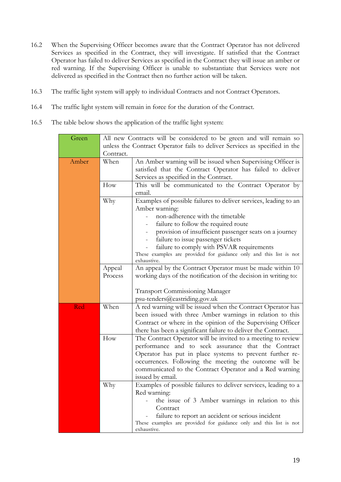- 16.2 When the Supervising Officer becomes aware that the Contract Operator has not delivered Services as specified in the Contract, they will investigate. If satisfied that the Contract Operator has failed to deliver Services as specified in the Contract they will issue an amber or red warning. If the Supervising Officer is unable to substantiate that Services were not delivered as specified in the Contract then no further action will be taken.
- 16.3 The traffic light system will apply to individual Contracts and not Contract Operators.
- 16.4 The traffic light system will remain in force for the duration of the Contract.
- 16.5 The table below shows the application of the traffic light system:

| Green | All new Contracts will be considered to be green and will remain so |                                                                            |  |  |  |  |
|-------|---------------------------------------------------------------------|----------------------------------------------------------------------------|--|--|--|--|
|       |                                                                     | unless the Contract Operator fails to deliver Services as specified in the |  |  |  |  |
|       | Contract.                                                           |                                                                            |  |  |  |  |
| Amber | When                                                                | An Amber warning will be issued when Supervising Officer is                |  |  |  |  |
|       |                                                                     | satisfied that the Contract Operator has failed to deliver                 |  |  |  |  |
|       |                                                                     | Services as specified in the Contract.                                     |  |  |  |  |
|       | How                                                                 | This will be communicated to the Contract Operator by                      |  |  |  |  |
|       |                                                                     | email.                                                                     |  |  |  |  |
|       | Why                                                                 | Examples of possible failures to deliver services, leading to an           |  |  |  |  |
|       |                                                                     | Amber warning:                                                             |  |  |  |  |
|       |                                                                     | non-adherence with the timetable                                           |  |  |  |  |
|       |                                                                     | failure to follow the required route                                       |  |  |  |  |
|       |                                                                     | provision of insufficient passenger seats on a journey                     |  |  |  |  |
|       |                                                                     | failure to issue passenger tickets                                         |  |  |  |  |
|       |                                                                     | failure to comply with PSVAR requirements                                  |  |  |  |  |
|       |                                                                     | These examples are provided for guidance only and this list is not         |  |  |  |  |
|       |                                                                     | exhaustive.                                                                |  |  |  |  |
|       | Appeal                                                              | An appeal by the Contract Operator must be made within 10                  |  |  |  |  |
|       | Process                                                             | working days of the notification of the decision in writing to:            |  |  |  |  |
|       |                                                                     | <b>Transport Commissioning Manager</b>                                     |  |  |  |  |
|       |                                                                     | psu-tenders@eastriding.gov.uk                                              |  |  |  |  |
| Red   | When                                                                | A red warning will be issued when the Contract Operator has                |  |  |  |  |
|       |                                                                     | been issued with three Amber warnings in relation to this                  |  |  |  |  |
|       |                                                                     | Contract or where in the opinion of the Supervising Officer                |  |  |  |  |
|       |                                                                     | there has been a significant failure to deliver the Contract.              |  |  |  |  |
|       | How                                                                 | The Contract Operator will be invited to a meeting to review               |  |  |  |  |
|       |                                                                     | performance and to seek assurance that the Contract                        |  |  |  |  |
|       |                                                                     | Operator has put in place systems to prevent further re-                   |  |  |  |  |
|       |                                                                     | occurrences. Following the meeting the outcome will be                     |  |  |  |  |
|       |                                                                     | communicated to the Contract Operator and a Red warning                    |  |  |  |  |
|       |                                                                     | issued by email.                                                           |  |  |  |  |
|       | Why                                                                 | Examples of possible failures to deliver services, leading to a            |  |  |  |  |
|       |                                                                     | Red warning:                                                               |  |  |  |  |
|       |                                                                     | the issue of 3 Amber warnings in relation to this                          |  |  |  |  |
|       |                                                                     | Contract                                                                   |  |  |  |  |
|       |                                                                     | failure to report an accident or serious incident                          |  |  |  |  |
|       |                                                                     | These examples are provided for guidance only and this list is not         |  |  |  |  |
|       |                                                                     | exhaustive.                                                                |  |  |  |  |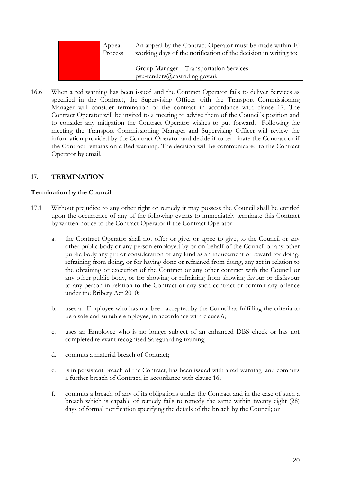| Appeal<br>Process | An appeal by the Contract Operator must be made within 10<br>working days of the notification of the decision in writing to: |
|-------------------|------------------------------------------------------------------------------------------------------------------------------|
|                   | Group Manager - Transportation Services<br>$psu-tenders@easting.gov.uk$                                                      |

16.6 When a red warning has been issued and the Contract Operator fails to deliver Services as specified in the Contract, the Supervising Officer with the Transport Commissioning Manager will consider termination of the contract in accordance with clause 17. The Contract Operator will be invited to a meeting to advise them of the Council's position and to consider any mitigation the Contract Operator wishes to put forward. Following the meeting the Transport Commissioning Manager and Supervising Officer will review the information provided by the Contract Operator and decide if to terminate the Contract or if the Contract remains on a Red warning. The decision will be communicated to the Contract Operator by email.

#### **17. TERMINATION**

#### **Termination by the Council**

- 17.1 Without prejudice to any other right or remedy it may possess the Council shall be entitled upon the occurrence of any of the following events to immediately terminate this Contract by written notice to the Contract Operator if the Contract Operator:
	- a. the Contract Operator shall not offer or give, or agree to give, to the Council or any other public body or any person employed by or on behalf of the Council or any other public body any gift or consideration of any kind as an inducement or reward for doing, refraining from doing, or for having done or refrained from doing, any act in relation to the obtaining or execution of the Contract or any other contract with the Council or any other public body, or for showing or refraining from showing favour or disfavour to any person in relation to the Contract or any such contract or commit any offence under the Bribery Act 2010;
	- b. uses an Employee who has not been accepted by the Council as fulfilling the criteria to be a safe and suitable employee, in accordance with clause 6;
	- c. uses an Employee who is no longer subject of an enhanced DBS check or has not completed relevant recognised Safeguarding training;
	- d. commits a material breach of Contract;
	- e. is in persistent breach of the Contract, has been issued with a red warning and commits a further breach of Contract, in accordance with clause 16;
	- f. commits a breach of any of its obligations under the Contract and in the case of such a breach which is capable of remedy fails to remedy the same within twenty eight (28) days of formal notification specifying the details of the breach by the Council; or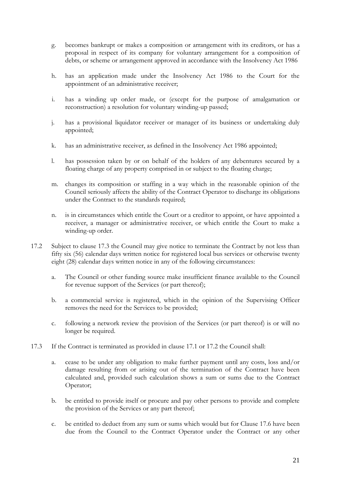- g. becomes bankrupt or makes a composition or arrangement with its creditors, or has a proposal in respect of its company for voluntary arrangement for a composition of debts, or scheme or arrangement approved in accordance with the Insolvency Act 1986
- h. has an application made under the Insolvency Act 1986 to the Court for the appointment of an administrative receiver;
- i. has a winding up order made, or (except for the purpose of amalgamation or reconstruction) a resolution for voluntary winding-up passed;
- j. has a provisional liquidator receiver or manager of its business or undertaking duly appointed;
- k. has an administrative receiver, as defined in the Insolvency Act 1986 appointed;
- l. has possession taken by or on behalf of the holders of any debentures secured by a floating charge of any property comprised in or subject to the floating charge;
- m. changes its composition or staffing in a way which in the reasonable opinion of the Council seriously affects the ability of the Contract Operator to discharge its obligations under the Contract to the standards required;
- n. is in circumstances which entitle the Court or a creditor to appoint, or have appointed a receiver, a manager or administrative receiver, or which entitle the Court to make a winding-up order.
- 17.2 Subject to clause 17.3 the Council may give notice to terminate the Contract by not less than fifty six (56) calendar days written notice for registered local bus services or otherwise twenty eight (28) calendar days written notice in any of the following circumstances:
	- a. The Council or other funding source make insufficient finance available to the Council for revenue support of the Services (or part thereof);
	- b. a commercial service is registered, which in the opinion of the Supervising Officer removes the need for the Services to be provided;
	- c. following a network review the provision of the Services (or part thereof) is or will no longer be required.
- 17.3 If the Contract is terminated as provided in clause 17.1 or 17.2 the Council shall:
	- a. cease to be under any obligation to make further payment until any costs, loss and/or damage resulting from or arising out of the termination of the Contract have been calculated and, provided such calculation shows a sum or sums due to the Contract Operator;
	- b. be entitled to provide itself or procure and pay other persons to provide and complete the provision of the Services or any part thereof;
	- c. be entitled to deduct from any sum or sums which would but for Clause 17.6 have been due from the Council to the Contract Operator under the Contract or any other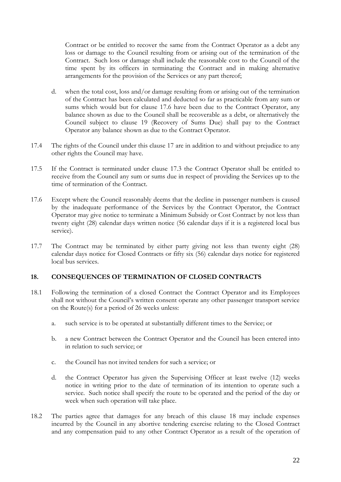Contract or be entitled to recover the same from the Contract Operator as a debt any loss or damage to the Council resulting from or arising out of the termination of the Contract. Such loss or damage shall include the reasonable cost to the Council of the time spent by its officers in terminating the Contract and in making alternative arrangements for the provision of the Services or any part thereof;

- d. when the total cost, loss and/or damage resulting from or arising out of the termination of the Contract has been calculated and deducted so far as practicable from any sum or sums which would but for clause 17.6 have been due to the Contract Operator, any balance shown as due to the Council shall be recoverable as a debt, or alternatively the Council subject to clause 19 (Recovery of Sums Due) shall pay to the Contract Operator any balance shown as due to the Contract Operator.
- 17.4 The rights of the Council under this clause 17 are in addition to and without prejudice to any other rights the Council may have.
- 17.5 If the Contract is terminated under clause 17.3 the Contract Operator shall be entitled to receive from the Council any sum or sums due in respect of providing the Services up to the time of termination of the Contract.
- 17.6 Except where the Council reasonably deems that the decline in passenger numbers is caused by the inadequate performance of the Services by the Contract Operator, the Contract Operator may give notice to terminate a Minimum Subsidy or Cost Contract by not less than twenty eight (28) calendar days written notice (56 calendar days if it is a registered local bus service).
- 17.7 The Contract may be terminated by either party giving not less than twenty eight (28) calendar days notice for Closed Contracts or fifty six (56) calendar days notice for registered local bus services.

#### **18. CONSEQUENCES OF TERMINATION OF CLOSED CONTRACTS**

- 18.1 Following the termination of a closed Contract the Contract Operator and its Employees shall not without the Council's written consent operate any other passenger transport service on the Route(s) for a period of 26 weeks unless:
	- a. such service is to be operated at substantially different times to the Service; or
	- b. a new Contract between the Contract Operator and the Council has been entered into in relation to such service; or
	- c. the Council has not invited tenders for such a service; or
	- d. the Contract Operator has given the Supervising Officer at least twelve (12) weeks notice in writing prior to the date of termination of its intention to operate such a service. Such notice shall specify the route to be operated and the period of the day or week when such operation will take place.
- 18.2 The parties agree that damages for any breach of this clause 18 may include expenses incurred by the Council in any abortive tendering exercise relating to the Closed Contract and any compensation paid to any other Contract Operator as a result of the operation of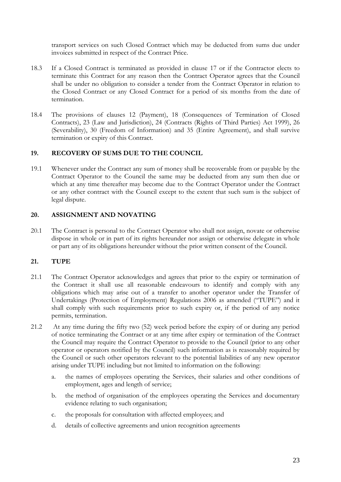transport services on such Closed Contract which may be deducted from sums due under invoices submitted in respect of the Contract Price.

- 18.3 If a Closed Contract is terminated as provided in clause 17 or if the Contractor elects to terminate this Contract for any reason then the Contract Operator agrees that the Council shall be under no obligation to consider a tender from the Contract Operator in relation to the Closed Contract or any Closed Contract for a period of six months from the date of termination.
- 18.4 The provisions of clauses 12 (Payment), 18 (Consequences of Termination of Closed Contracts), 23 (Law and Jurisdiction), 24 (Contracts (Rights of Third Parties) Act 1999), 26 (Severability), 30 (Freedom of Information) and 35 (Entire Agreement), and shall survive termination or expiry of this Contract.

#### **19. RECOVERY OF SUMS DUE TO THE COUNCIL**

19.1 Whenever under the Contract any sum of money shall be recoverable from or payable by the Contract Operator to the Council the same may be deducted from any sum then due or which at any time thereafter may become due to the Contract Operator under the Contract or any other contract with the Council except to the extent that such sum is the subject of legal dispute.

#### **20. ASSIGNMENT AND NOVATING**

20.1 The Contract is personal to the Contract Operator who shall not assign, novate or otherwise dispose in whole or in part of its rights hereunder nor assign or otherwise delegate in whole or part any of its obligations hereunder without the prior written consent of the Council.

#### **21. TUPE**

- 21.1 The Contract Operator acknowledges and agrees that prior to the expiry or termination of the Contract it shall use all reasonable endeavours to identify and comply with any obligations which may arise out of a transfer to another operator under the Transfer of Undertakings (Protection of Employment) Regulations 2006 as amended ("TUPE") and it shall comply with such requirements prior to such expiry or, if the period of any notice permits, termination.
- 21.2 At any time during the fifty two (52) week period before the expiry of or during any period of notice terminating the Contract or at any time after expiry or termination of the Contract the Council may require the Contract Operator to provide to the Council (prior to any other operator or operators notified by the Council) such information as is reasonably required by the Council or such other operators relevant to the potential liabilities of any new operator arising under TUPE including but not limited to information on the following:
	- a. the names of employees operating the Services, their salaries and other conditions of employment, ages and length of service;
	- b. the method of organisation of the employees operating the Services and documentary evidence relating to such organisation;
	- c. the proposals for consultation with affected employees; and
	- d. details of collective agreements and union recognition agreements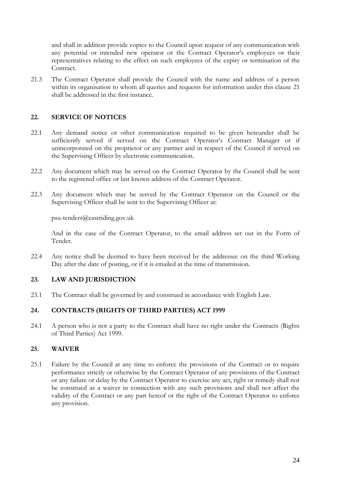and shall in addition provide copies to the Council upon request of any communication with any potential or intended new operator or the Contract Operator's employees or their representatives relating to the effect on such employees of the expiry or termination of the Contract.

21.3 The Contract Operator shall provide the Council with the name and address of a person within its organisation to whom all queries and requests for information under this clause 21 shall be addressed in the first instance.

#### **22. SERVICE OF NOTICES**

- 22.1 Any demand notice or other communication required to be given hereunder shall be sufficiently served if served on the Contract Operator's Contract Manager or if unincorporated on the proprietor or any partner and in respect of the Council if served on the Supervising Officer by electronic communication.
- 22.2 Any document which may be served on the Contract Operator by the Council shall be sent to the registered office or last known address of the Contract Operator.
- 22.3 Any document which may be served by the Contract Operator on the Council or the Supervising Officer shall be sent to the Supervising Officer at:

psu-tenders@eastriding.gov.uk

And in the case of the Contract Operator, to the email address set out in the Form of Tender.

22.4 Any notice shall be deemed to have been received by the addressee on the third Working Day after the date of posting, or if it is emailed at the time of transmission.

#### **23. LAW AND JURISDICTION**

23.1 The Contract shall be governed by and construed in accordance with English Law.

#### **24. CONTRACTS (RIGHTS OF THIRD PARTIES) ACT 1999**

24.1 A person who is not a party to the Contract shall have no right under the Contracts (Rights of Third Parties) Act 1999.

#### **25. WAIVER**

25.1 Failure by the Council at any time to enforce the provisions of the Contract or to require performance strictly or otherwise by the Contract Operator of any provisions of the Contract or any failure or delay by the Contract Operator to exercise any act, right or remedy shall not be construed as a waiver in connection with any such provisions and shall not affect the validity of the Contract or any part hereof or the right of the Contract Operator to enforce any provision.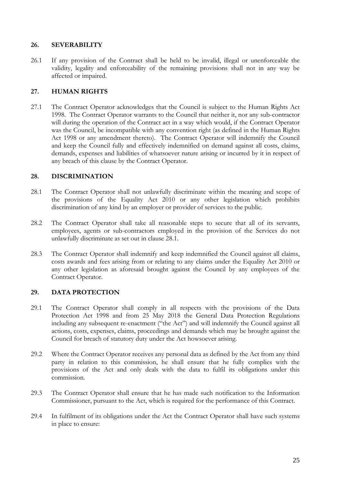#### **26. SEVERABILITY**

26.1 If any provision of the Contract shall be held to be invalid, illegal or unenforceable the validity, legality and enforceability of the remaining provisions shall not in any way be affected or impaired.

#### **27. HUMAN RIGHTS**

27.1 The Contract Operator acknowledges that the Council is subject to the Human Rights Act 1998. The Contract Operator warrants to the Council that neither it, nor any sub-contractor will during the operation of the Contract act in a way which would, if the Contract Operator was the Council, be incompatible with any convention right (as defined in the Human Rights Act 1998 or any amendment thereto). The Contract Operator will indemnify the Council and keep the Council fully and effectively indemnified on demand against all costs, claims, demands, expenses and liabilities of whatsoever nature arising or incurred by it in respect of any breach of this clause by the Contract Operator.

#### **28. DISCRIMINATION**

- 28.1 The Contract Operator shall not unlawfully discriminate within the meaning and scope of the provisions of the Equality Act 2010 or any other legislation which prohibits discrimination of any kind by an employer or provider of services to the public.
- 28.2 The Contract Operator shall take all reasonable steps to secure that all of its servants, employees, agents or sub-contractors employed in the provision of the Services do not unlawfully discriminate as set out in clause 28.1.
- 28.3 The Contract Operator shall indemnify and keep indemnified the Council against all claims, costs awards and fees arising from or relating to any claims under the Equality Act 2010 or any other legislation as aforesaid brought against the Council by any employees of the Contract Operator.

#### **29. DATA PROTECTION**

- 29.1 The Contract Operator shall comply in all respects with the provisions of the Data Protection Act 1998 and from 25 May 2018 the General Data Protection Regulations including any subsequent re-enactment ("the Act") and will indemnify the Council against all actions, costs, expenses, claims, proceedings and demands which may be brought against the Council for breach of statutory duty under the Act howsoever arising.
- 29.2 Where the Contract Operator receives any personal data as defined by the Act from any third party in relation to this commission, he shall ensure that he fully complies with the provisions of the Act and only deals with the data to fulfil its obligations under this commission.
- 29.3 The Contract Operator shall ensure that he has made such notification to the Information Commissioner, pursuant to the Act, which is required for the performance of this Contract.
- 29.4 In fulfilment of its obligations under the Act the Contract Operator shall have such systems in place to ensure: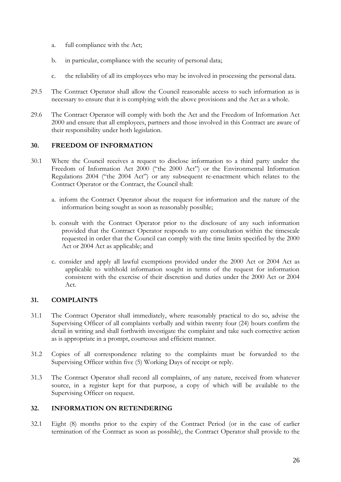- a. full compliance with the Act;
- b. in particular, compliance with the security of personal data;
- c. the reliability of all its employees who may be involved in processing the personal data.
- 29.5 The Contract Operator shall allow the Council reasonable access to such information as is necessary to ensure that it is complying with the above provisions and the Act as a whole.
- 29.6 The Contract Operator will comply with both the Act and the Freedom of Information Act 2000 and ensure that all employees, partners and those involved in this Contract are aware of their responsibility under both legislation.

#### **30. FREEDOM OF INFORMATION**

- 30.1 Where the Council receives a request to disclose information to a third party under the Freedom of Information Act 2000 ("the 2000 Act") or the Environmental Information Regulations 2004 ("the 2004 Act") or any subsequent re-enactment which relates to the Contract Operator or the Contract, the Council shall:
	- a. inform the Contract Operator about the request for information and the nature of the information being sought as soon as reasonably possible;
	- b. consult with the Contract Operator prior to the disclosure of any such information provided that the Contract Operator responds to any consultation within the timescale requested in order that the Council can comply with the time limits specified by the 2000 Act or 2004 Act as applicable; and
	- c. consider and apply all lawful exemptions provided under the 2000 Act or 2004 Act as applicable to withhold information sought in terms of the request for information consistent with the exercise of their discretion and duties under the 2000 Act or 2004 Act.

#### **31. COMPLAINTS**

- 31.1 The Contract Operator shall immediately, where reasonably practical to do so, advise the Supervising Officer of all complaints verbally and within twenty four (24) hours confirm the detail in writing and shall forthwith investigate the complaint and take such corrective action as is appropriate in a prompt, courteous and efficient manner.
- 31.2 Copies of all correspondence relating to the complaints must be forwarded to the Supervising Officer within five (5) Working Days of receipt or reply.
- 31.3 The Contract Operator shall record all complaints, of any nature, received from whatever source, in a register kept for that purpose, a copy of which will be available to the Supervising Officer on request.

#### **32. INFORMATION ON RETENDERING**

32.1 Eight (8) months prior to the expiry of the Contract Period (or in the case of earlier termination of the Contract as soon as possible), the Contract Operator shall provide to the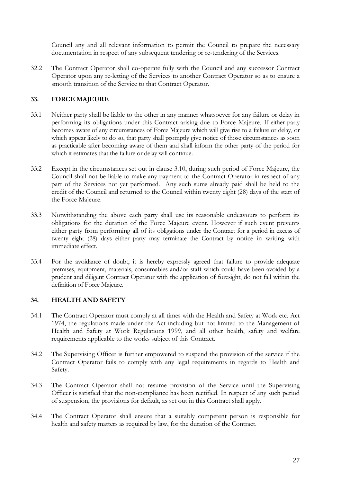Council any and all relevant information to permit the Council to prepare the necessary documentation in respect of any subsequent tendering or re-tendering of the Services.

32.2 The Contract Operator shall co-operate fully with the Council and any successor Contract Operator upon any re-letting of the Services to another Contract Operator so as to ensure a smooth transition of the Service to that Contract Operator.

#### **33. FORCE MAJEURE**

- 33.1 Neither party shall be liable to the other in any manner whatsoever for any failure or delay in performing its obligations under this Contract arising due to Force Majeure. If either party becomes aware of any circumstances of Force Majeure which will give rise to a failure or delay, or which appear likely to do so, that party shall promptly give notice of those circumstances as soon as practicable after becoming aware of them and shall inform the other party of the period for which it estimates that the failure or delay will continue.
- 33.2 Except in the circumstances set out in clause 3.10, during such period of Force Majeure, the Council shall not be liable to make any payment to the Contract Operator in respect of any part of the Services not yet performed. Any such sums already paid shall be held to the credit of the Council and returned to the Council within twenty eight (28) days of the start of the Force Majeure.
- 33.3 Notwithstanding the above each party shall use its reasonable endeavours to perform its obligations for the duration of the Force Majeure event. However if such event prevents either party from performing all of its obligations under the Contract for a period in excess of twenty eight (28) days either party may terminate the Contract by notice in writing with immediate effect.
- 33.4 For the avoidance of doubt, it is hereby expressly agreed that failure to provide adequate premises, equipment, materials, consumables and/or staff which could have been avoided by a prudent and diligent Contract Operator with the application of foresight, do not fall within the definition of Force Majeure.

#### **34. HEALTH AND SAFETY**

- 34.1 The Contract Operator must comply at all times with the Health and Safety at Work etc. Act 1974, the regulations made under the Act including but not limited to the Management of Health and Safety at Work Regulations 1999, and all other health, safety and welfare requirements applicable to the works subject of this Contract.
- 34.2 The Supervising Officer is further empowered to suspend the provision of the service if the Contract Operator fails to comply with any legal requirements in regards to Health and Safety.
- 34.3 The Contract Operator shall not resume provision of the Service until the Supervising Officer is satisfied that the non-compliance has been rectified. In respect of any such period of suspension, the provisions for default, as set out in this Contract shall apply.
- 34.4 The Contract Operator shall ensure that a suitably competent person is responsible for health and safety matters as required by law, for the duration of the Contract.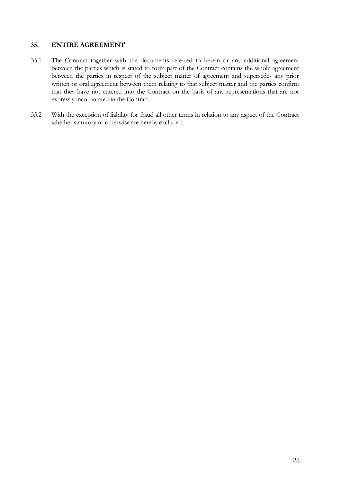#### **35. ENTIRE AGREEMENT**

- 35.1 The Contract together with the documents referred to herein or any additional agreement between the parties which is stated to form part of the Contract contains the whole agreement between the parties in respect of the subject matter of agreement and supersedes any prior written or oral agreement between them relating to that subject matter and the parties confirm that they have not entered into the Contract on the basis of any representations that are not expressly incorporated in the Contract.
- 35.2 With the exception of liability for fraud all other terms in relation to any aspect of the Contract whether statutory or otherwise are hereby excluded.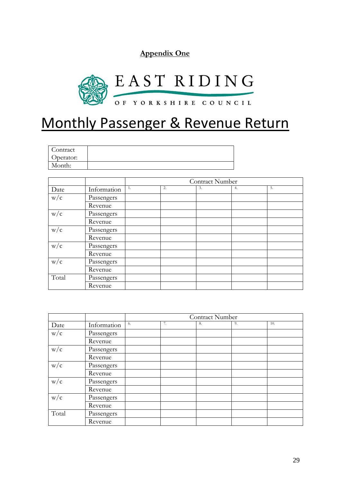**Appendix One**



### Monthly Passenger & Revenue Return

| Contract  |  |
|-----------|--|
| Operator: |  |
| Month:    |  |

|       |             | Contract Number |    |    |    |    |
|-------|-------------|-----------------|----|----|----|----|
| Date  | Information | -1.             | 2. | 3. | 4. | 5. |
| w/c   | Passengers  |                 |    |    |    |    |
|       | Revenue     |                 |    |    |    |    |
| w/c   | Passengers  |                 |    |    |    |    |
|       | Revenue     |                 |    |    |    |    |
| w/c   | Passengers  |                 |    |    |    |    |
|       | Revenue     |                 |    |    |    |    |
| w/c   | Passengers  |                 |    |    |    |    |
|       | Revenue     |                 |    |    |    |    |
| w/c   | Passengers  |                 |    |    |    |    |
|       | Revenue     |                 |    |    |    |    |
| Total | Passengers  |                 |    |    |    |    |
|       | Revenue     |                 |    |    |    |    |

|       |             | Contract Number |    |    |    |     |
|-------|-------------|-----------------|----|----|----|-----|
| Date  | Information | 6.              | 7. | 8. | 9. | 10. |
| w/c   | Passengers  |                 |    |    |    |     |
|       | Revenue     |                 |    |    |    |     |
| w/c   | Passengers  |                 |    |    |    |     |
|       | Revenue     |                 |    |    |    |     |
| w/c   | Passengers  |                 |    |    |    |     |
|       | Revenue     |                 |    |    |    |     |
| w/c   | Passengers  |                 |    |    |    |     |
|       | Revenue     |                 |    |    |    |     |
| w/c   | Passengers  |                 |    |    |    |     |
|       | Revenue     |                 |    |    |    |     |
| Total | Passengers  |                 |    |    |    |     |
|       | Revenue     |                 |    |    |    |     |